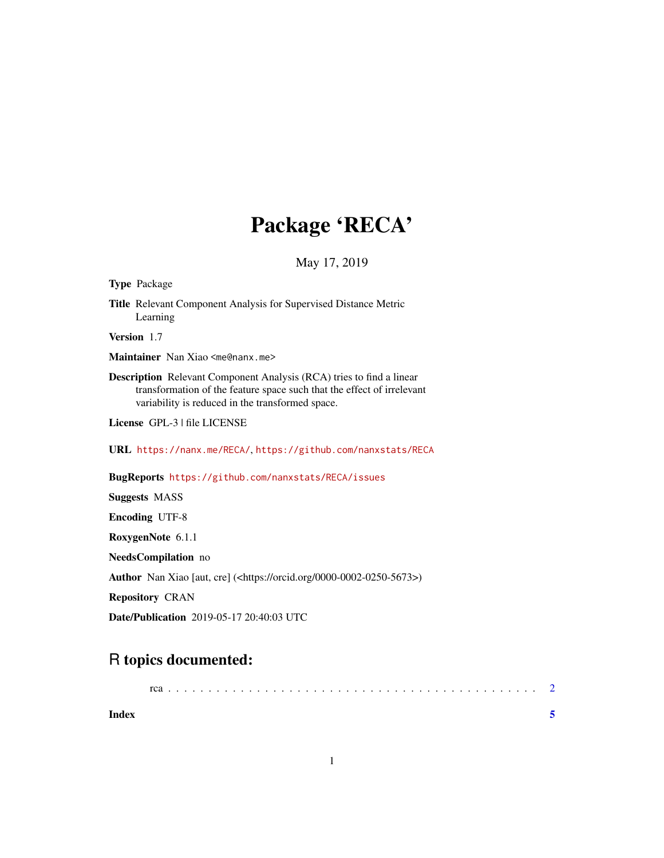## Package 'RECA'

May 17, 2019

| <b>Type Package</b>                                                                                                                                                                                       |
|-----------------------------------------------------------------------------------------------------------------------------------------------------------------------------------------------------------|
| Title Relevant Component Analysis for Supervised Distance Metric<br>Learning                                                                                                                              |
| Version 1.7                                                                                                                                                                                               |
| M <b>aintainer</b> Nan Xiao <me@nanx.me></me@nanx.me>                                                                                                                                                     |
| <b>Description</b> Relevant Component Analysis (RCA) tries to find a linear<br>transformation of the feature space such that the effect of irrelevant<br>variability is reduced in the transformed space. |
| License GPL-3   file LICENSE                                                                                                                                                                              |
| URL https://nanx.me/RECA/, https://github.com/nanxstats/RECA                                                                                                                                              |
| BugReports https://github.com/nanxstats/RECA/issues                                                                                                                                                       |
| <b>Suggests MASS</b>                                                                                                                                                                                      |
| <b>Encoding UTF-8</b>                                                                                                                                                                                     |
| RoxygenNote 6.1.1                                                                                                                                                                                         |
| NeedsCompilation no                                                                                                                                                                                       |
| <b>Author</b> Nan Xiao [aut, cre] ( <https: 0000-0002-0250-5673="" orcid.org="">)</https:>                                                                                                                |
|                                                                                                                                                                                                           |

Repository CRAN

Date/Publication 2019-05-17 20:40:03 UTC

## R topics documented:

| Index |  |  |  |  |  |  |  |  |  |  |  |  |  |  |  |  |  |  |
|-------|--|--|--|--|--|--|--|--|--|--|--|--|--|--|--|--|--|--|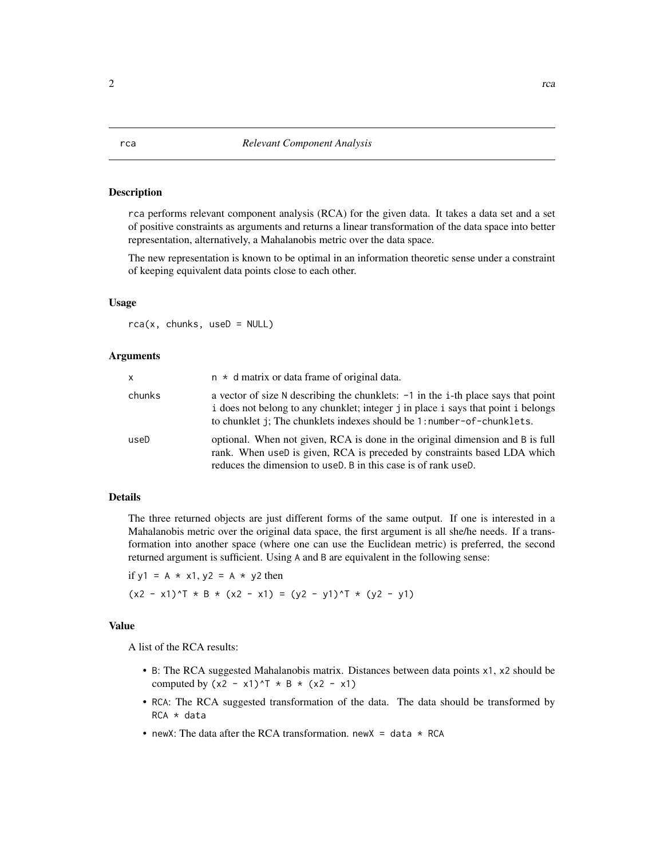### <span id="page-1-0"></span>Description

rca performs relevant component analysis (RCA) for the given data. It takes a data set and a set of positive constraints as arguments and returns a linear transformation of the data space into better representation, alternatively, a Mahalanobis metric over the data space.

The new representation is known to be optimal in an information theoretic sense under a constraint of keeping equivalent data points close to each other.

### Usage

 $rca(x, chunks, useD = NULL)$ 

### Arguments

| x      | $n \times d$ matrix or data frame of original data.                                                                                                                                                                                               |
|--------|---------------------------------------------------------------------------------------------------------------------------------------------------------------------------------------------------------------------------------------------------|
| chunks | a vector of size N describing the chunklets: $-1$ in the i-th place says that point<br>i does not belong to any chunklet; integer j in place i says that point i belongs<br>to chunklet j; The chunklets indexes should be 1:number-of-chunklets. |
| useD   | optional. When not given, RCA is done in the original dimension and B is full<br>rank. When useD is given, RCA is preceded by constraints based LDA which<br>reduces the dimension to use D. B in this case is of rank use D.                     |

### Details

The three returned objects are just different forms of the same output. If one is interested in a Mahalanobis metric over the original data space, the first argument is all she/he needs. If a transformation into another space (where one can use the Euclidean metric) is preferred, the second returned argument is sufficient. Using A and B are equivalent in the following sense:

if  $y1 = A \times x1$ ,  $y2 = A \times y2$  then  $(x2 - x1)^T * B * (x2 - x1) = (y2 - y1)^T * (y2 - y1)$ 

### Value

A list of the RCA results:

- B: The RCA suggested Mahalanobis matrix. Distances between data points x1, x2 should be computed by  $(x2 - x1)^T$  \* B \*  $(x2 - x1)$
- RCA: The RCA suggested transformation of the data. The data should be transformed by RCA \* data
- newX: The data after the RCA transformation. newX = data  $*$  RCA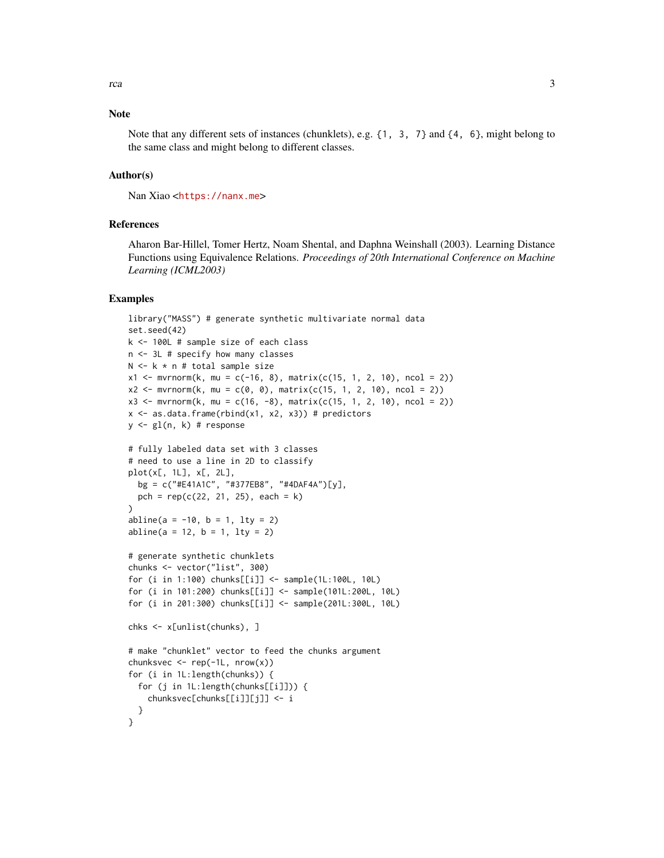### Note

Note that any different sets of instances (chunklets), e.g. {1, 3, 7} and {4, 6}, might belong to the same class and might belong to different classes.

### Author(s)

Nan Xiao <<https://nanx.me>>

### References

Aharon Bar-Hillel, Tomer Hertz, Noam Shental, and Daphna Weinshall (2003). Learning Distance Functions using Equivalence Relations. *Proceedings of 20th International Conference on Machine Learning (ICML2003)*

### Examples

```
library("MASS") # generate synthetic multivariate normal data
set.seed(42)
k <- 100L # sample size of each class
n <- 3L # specify how many classes
N < -k * n # total sample size
x1 \le m wrnorm(k, mu = c(-16, 8), matrix(c(15, 1, 2, 10), ncol = 2))
x2 \le m wrnorm(k, mu = c(0, 0), matrix(c(15, 1, 2, 10), ncol = 2))
x3 \le mvrnorm(k, mu = c(16, -8), matrix(c(15, 1, 2, 10), ncol = 2))x \le - as.data.frame(rbind(x1, x2, x3)) # predictors
y \leftarrow gl(n, k) # response
# fully labeled data set with 3 classes
# need to use a line in 2D to classify
plot(x[, 1L], x[, 2L],
  bg = c("#E41A1C", "#377EB8", "#4DAF4A")[y],
  pch = rep(c(22, 21, 25)), each = k)
\lambdaabline(a = -10, b = 1, lty = 2)abline(a = 12, b = 1, 1ty = 2)# generate synthetic chunklets
chunks <- vector("list", 300)
for (i in 1:100) chunks[[i]] <- sample(1L:100L, 10L)
for (i in 101:200) chunks[[i]] <- sample(101L:200L, 10L)
for (i in 201:300) chunks[[i]] <- sample(201L:300L, 10L)
chks <- x[unlist(chunks), ]
# make "chunklet" vector to feed the chunks argument
chunksvec \leq rep(-1L, nrow(x))
for (i in 1L:length(chunks)) {
  for (j in 1L:length(chunks[[i]])) {
    chunksvec[chunks[[i]][j]] <- i
  }
}
```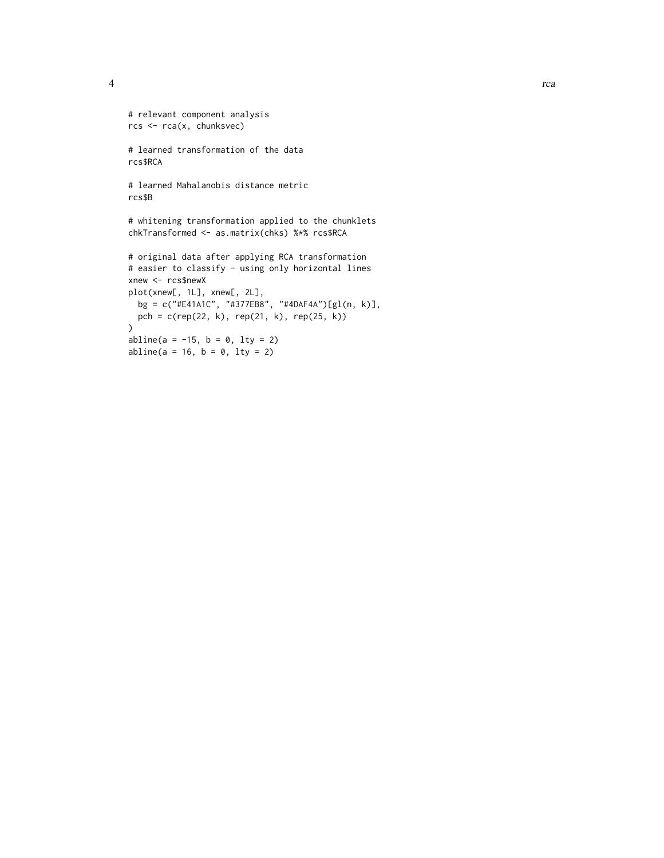```
4 and 2 real contracts to the contract of the contract of the contract of the contract of the contract of the contract of the contract of the contract of the contract of the contract of the contract of the contract of the
```

```
# relevant component analysis
rcs <- rca(x, chunksvec)
# learned transformation of the data
rcs$RCA
# learned Mahalanobis distance metric
rcs$B
# whitening transformation applied to the chunklets
chkTransformed <- as.matrix(chks) %*% rcs$RCA
# original data after applying RCA transformation
# easier to classify - using only horizontal lines
xnew <- rcs$newX
plot(xnew[, 1L], xnew[, 2L],
 bg = c("#E41A1C", "#377EB8", "#4DAF4A")[gl(n, k)],
 pch = c(rep(22, k), rep(21, k), rep(25, k))
\mathcal{L}abline(a = -15, b = 0, lty = 2)
abline(a = 16, b = 0, lty = 2)
```